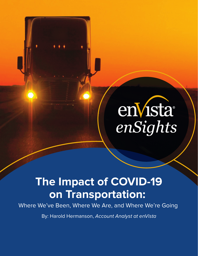# enVista®

## **The Impact of COVID-19 on Transportation:**

Where We've Been, Where We Are, and Where We're Going

By: Harold Hermanson, Account Analyst at enVista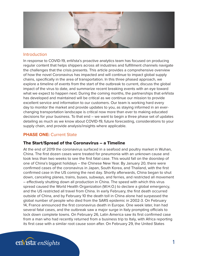

#### **Introduction**

In response to COVID-19, enVista's proactive analytics team has focused on producing regular content that helps shippers across all industries and fulfillment channels navigate the challenges that the crisis presents. This article provides a comprehensive overview of how the novel Coronavirus has impacted and will continue to impact global supply chains, specifically in the area of transportation. In this three phased approach, we explore a timeline of events from the start of the outbreak to current, discuss the global impact of the virus to date, and summarize recent breaking events with an eye toward what we expect to happen next. During the coming months, the partnerships that enVista has developed and maintained will be critical as we continue our mission to provide excellent service and information to our customers. Our team is working hard every day to monitor the market and provide updates to you, as staying informed in an everchanging transportation landscape is critical now more than ever to making educated decisions for your business. To that end – we want to begin a three phase set of updates detailing as much as we know about COVID-19, future forecasting, considerations to your supply chain, and provide analysis/insights where applicable.

#### **PHASE ONE: Current State**

#### The Start/Spread of the Coronavirus – a Timeline

At the end of 2019 the coronavirus surfaced in a seafood and poultry market in Wuhan, China. The first dozen cases were treated for pneumonia with an unknown cause and took less than two weeks to see the first fatal case. This would fall on the doorstep of one of China's biggest holidays – the Chinese New Year. By January 20, there were confirmed cases of the coronavirus in Japan, South Korea, and Thailand, with the first confirmed case in the US coming the next day. Shortly afterwards, China began to shut down, canceling planes, trains, buses, subways, and ferries, and restricted all movement – effectively shutting down all production in China. The speed with which this virus spread caused the World Health Organization (W.H.O.) to declare a global emergency, and the US restricted all travel from China. In early February, the first death occurred outside of China, and by February 10 the death toll in China alone had surpassed the global number of people who died from the SARS epidemic in 2002-3. On February 14, France announced the first coronavirus death in Europe. One week later, Iran had several fatal cases, and the outbreak saw a major surge in Italy prompting officials to lock down complete towns. On February 26, Latin America saw its first confirmed case from a man who had recently returned from a business trip to Italy, with Africa reporting its first case with a similar root cause soon after. On February 29, the United States

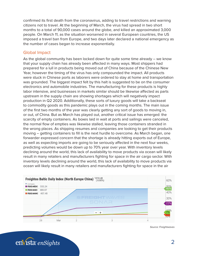confirmed its first death from the coronavirus, adding to travel restrictions and warning citizens not to travel. At the beginning of March, the virus had spread in two short months to a total of 90,000 cases around the globe, and killed an approximated 3,000 people. On March 11, as the situation worsened in several European countries, the US imposed a travel ban from Europe, and two days later declared a national emergency as the number of cases began to increase exponentially.

#### Global Impact

As the global community has been locked down for quite some time already – we know that your supply chain has already been affected in many ways. Most shippers had prepared for a lull in products being moved out of China because of the Chinese New Year, however the timing of the virus has only compounded the impact. All products were stuck in Chinese ports as laborers were ordered to stay at home and transportation was grounded. The biggest impact felt by this halt is suggested to be on the consumer electronics and automobile industries. The manufacturing for these products is highly labor intensive, and businesses in markets similar should be likewise affected as parts upstream in the supply chain are showing shortages which will negatively impact production in Q2 2020. Additionally, these sorts of luxury goods will take a backseat to commodity goods as this pandemic plays out in the coming months. The main issue of the first two months of the year was clearly getting any sort of goods to moving in, or out, of China. But as March has played out, another critical issue has emerged: the scarcity of empty containers. As boxes laid in wait at ports and sailings were canceled, the normal flow of empties was likewise stalled, leaving those containers stranded in the wrong places. As shipping resumes and companies are looking to get their products moving – getting containers to fill is the next hurdle to overcome. As March began, one forwarder expressed concern that the shortage is already hitting exports out of Europe, as well as expecting imports are going to be seriously affected in the next four weeks, predicting volumes would be down up to 70% year over year. With inventory levels declining around the world, this lack of availability to move products via ocean will likely result in many retailers and manufacturers fighting for space in the air cargo sector. With inventory levels declining around the world, this lack of availability to move products via ocean will likely result in many retailers and manufacturers fighting for space in the air



*Source: Freightwaves*

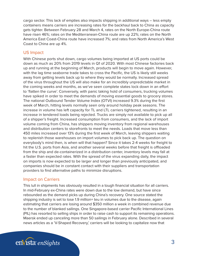cargo sector. This lack of empties also impacts shipping in additional ways – less empty containers means carriers are increasing rates for the backhaul back to China as capacity gets tighter. Between February 28 and March 4, rates on the North Europe-China route have risen 46%; rates on the Mediterranean-China route are up 22%; rates on the North America East Coast-China route have increased 7%; and rates from North America's West Coast to China are up 4%.

#### US Impact

With Chinese ports shut down, cargo volumes being imported at US ports could be down as much as 20% from 2019 levels in Q1 of 2020. With most Chinese factories back up and running at the beginning of March, products will begin to move again. However, with the lag time seaborne trade takes to cross the Pacific, the US is likely still weeks away from getting levels back up to where they would be normally. Increased spread of the virus throughout the US will also make for an incredibly unpredictable market in the coming weeks and months, as we've seen complete states lock down in an effort to 'flatten the curve'. Conversely, with panic taking hold of consumers, trucking volumes have spiked in order to meet the demands of moving essential goods to grocery stores. The national Outbound Tender Volume Index (OTVI) increased 9.3% during the first week of March, hitting levels normally seen only around holiday peak seasons. The increase in volume has left capacity for TL and LTL carriers tightened, resulting in an increase in tendered loads being rejected. Trucks are simply not available to pick up all of a shipper's freight. Increased consumption from consumers, and the lack of import volume coming from China, has shippers moving inventory from regional warehouses and distribution centers to storefronts to meet the needs. Loads that move less than 450 miles increased over 13% during the first week of March, leaving shippers waiting to replenish those warehouses on import volumes to pick back up. The question on everybody's mind then, is when will that happen? Since it takes 2-4 weeks for freight to hit the U.S. ports from Asia, and another several weeks before that freight is offloaded from the ship and de-containerized in a distribution center, inventory levels may fall at a faster than expected rates. With the spread of the virus expanding daily, the impact on imports is now expected to be larger and longer than previously anticipated, and companies should be in constant contact with their suppliers and transportation providers to find alternative paths to minimize disruptions.

#### Impact on Carriers

This lull in shipments has obviously resulted in a tough financial situation for all carriers. In mid-February ex-China rates were down due to the low demand, but have since rebounded as the demand picks up during China's recovery. One source stated the shipping industry is set to lose 1.9 million+ teu in volumes due to the disease, again estimating that carriers are losing around \$350 million a week in combined revenue due to the number of blanked sailings. One Singapore-based carrier Pacific International Lines (PIL) has resorted to selling ships in order to raise cash to support its remaining operations. Maersk ended up canceling more than 50 sailings in February alone. Described in several news articles as a 'V-Shaped Recovery,' carriers will be looking to capitalize now that

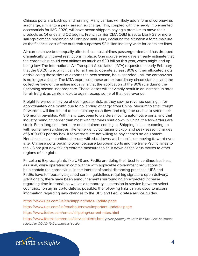Chinese ports are back up and running. Many carriers will likely add a form of coronavirus surcharge, similar to a peak season surcharge. This, coupled with the newly implemented accessorials for IMO 2020, will have ocean shippers paying a premium to move their products as Q1 ends and Q2 begins. French carrier CMA CGM is set to blank 23 or more sailings from the beginning of February until June, declaring the situation a force majeure as the financial cost of the outbreak surpasses \$2 billion industry-wide for container lines.

Air carriers have been equally affected, as most airlines passenger demand has dropped dramatically with travel restrictions in place. One source even gave an early estimate that the coronavirus could cost airlines as much as \$30 billion this year, which might end up being low. The International Air Transport Association (IATA) requested in early February that the 80:20 rule, which calls for airlines to operate at least 80% of their allocated slots or risk losing those slots at airports the next season, be suspended until the coronavirus is no longer a factor. The IATA expressed these are extraordinary circumstances, and the collective view of the airline industry is that the application of the 80% rule during the upcoming season inappropriate. These losses will inevitably result in an increase in rates for air freight, as carriers look to again recoup some of that lost revenue.

Freight forwarders may be at even greater risk, as they saw no revenue coming in for approximately one month due to no landing of cargo from China. Medium to small freight forwarders will find it hard to maintain any cash-flow, and might be unable to settle their 3-6 month payables. With many European forwarders moving automotive parts, and that industry being hit harder than most with factories shut down in China, the forwarders are stuck. For a long time there are no containers coming in. Shipping lines are coming up with some new surcharges, like 'emergency container pickup' and peak season charges of \$300-600 per dry box. If forwarders are not willing to pay, there's no equipment. Needless to say – continued issues with shutdowns will be an issue moving forward even after Chinese ports begin to open because European ports and the trans-Pacific lanes to the US are just now taking extreme measures to shut down as the virus moves to other regions of the globe.

Parcel and Express giants like UPS and FedEx are doing their best to continue business as usual, while operating in compliance with applicable government regulations to help contain the coronavirus. In the interest of social distancing practices, UPS and FedEx have temporarily adjusted certain guidelines requiring signature upon delivery. Additionally, there have been announcements surrounding an expected increase regarding time-in-transit, as well as a temporary suspension in service between select countries. To stay as up-to-date as possible, the following links can be used to access information regarding new changes to the UPS and FedEx rates/service guides.

https://www.ups.com/us/en/shipping/rates-update.page https://www.ups.com/us/en/about/news/important-updates.page https://www.fedex.com/en-us/shipping/current-rates.html

https://www.fedex.com/en-us/service-alerts.html *(scroll partway down to find the 'Service impact related to COVID-19 Coronavirus' section*

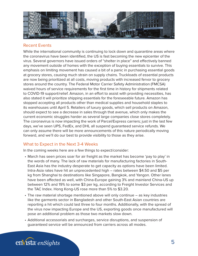

#### Recent Events

While the international community is continuing to lock down and quarantine areas where the coronavirus have been identified, the US is fast becoming the new epicenter of the virus. Several governors have issued orders of "shelter in place" and effectively banned any movement outside of homes with the exception of buying essentials to survive. This emphasis on limiting movement has caused a bit of a panic in purchasing essential goods at grocery stores, causing much strain on supply chains. Truckloads of essential products are now being prioritized at all costs, moving products with increased fervor to grocery stores around the country. The Federal Motor Carrier Safety Administration (FMCSA) waived hours of service requirements for the first time in history for shipments related to COVID-19 support/relief. Amazon, in an effort to assist with providing necessities, has also stated it will prioritize shipping essentials for the foreseeable future. Amazon has stopped accepting all products other than medical supplies and household staples to its warehouses until April 5. Retailers of luxury goods, which sell products on Amazon, should expect to see a decrease in sales through that avenue, which only makes the current economic struggles harder as several large companies close stores completely. The coronavirus is now impacting the work of Parcel/Express carriers; just in the last few days, we've seen UPS, FedEx, and DHL all suspend guaranteed service refunds. We can only assume there will be more announcements of this nature periodically moving forward, and we'll do our best to provide visibility to those as they arise.

#### What to Expect in the Next 3-4 Weeks

In the coming weeks here are a few things to expect/consider:

- March has seen prices soar for air freight as the market has become 'pay to play' in the words of many. The lack of raw materials for manufacturing factories in South-East Asia has the industry desperate to get capacity as options have been limited. Intra-Asia rates have hit an unprecedented high – rates between \$4.50 and \$5 per kg from Shanghai to destinations like Singapore, Bangkok, and Yangon. Other lanes have been affected as well, with China-Europe gaining 3% and mainland China-US up between 12% and 19% to some \$3 per kg, according to Freight Investor Services and the TAC Index. Hong Kong-US rose more than 5% to \$3.20.
- The raw material shortage mentioned above will only continue as key industries like the garments sector in Bangladesh and other South-East Asian countries are reporting a hit which could last three to four months. Additionally, with the spread of the virus now impacting Europe and the US, exporting goods once manufactured will pose an additional problem as those two markets slow down.
- Additional accessorials and surcharges, service disruptions, and suspension of guaranteed service will be announced from carriers across all modes.

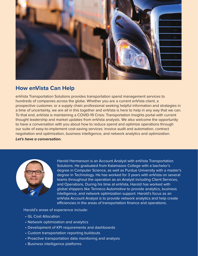

### **How enVista Can Help**

enVista Transportation Solutions provides transportation spend management services to hundreds of companies across the globe. Whether you are a current enVista client, a prospective customer, or a supply chain professional seeking helpful information and strategies in a time of uncertainty, we are all in this together and enVista is here to help in any way that we can. To that end, enVista is maintaining a COVID-19 Crisis: Transportation Insights portal with current thought leadership and market updates from enVista analysts. We also welcome the opportunity to have a conversation with you about how to reduce spend and optimize operations through our suite of easy-to-implement cost-saving services: invoice audit and automation, contract negotiation and optimization, business intelligence, and network analytics and optimization.

#### *Let's have a conversation.*



Harold Hermanson is an Account Analyst with enVista Transportation Solutions. He graduated from Kalamazoo College with a bachelor's degree in Computer Science, as well as Purdue University with a master's degree in Technology. He has worked for 3 years with enVista on several teams throughout the operation as an Analyst including Client Services, and Operations. During his time at enVista, Harold has worked with global shippers like Tenneco Automotive to provide analytics, business intelligence, and network optimization support. Harold's focus as an enVista Account Analyst is to provide network analytics and help create efficiencies in the areas of transportation finance and operations.

Harold's areas of experience include:

- GL Cost Allocation
- Network optimization and analytics
- Development of KPI requirements and dashboards
- Custom transportation reporting buildouts
- Proactive transportation data monitoring and analysis
- *enSights* 6 Business intelligence platforms